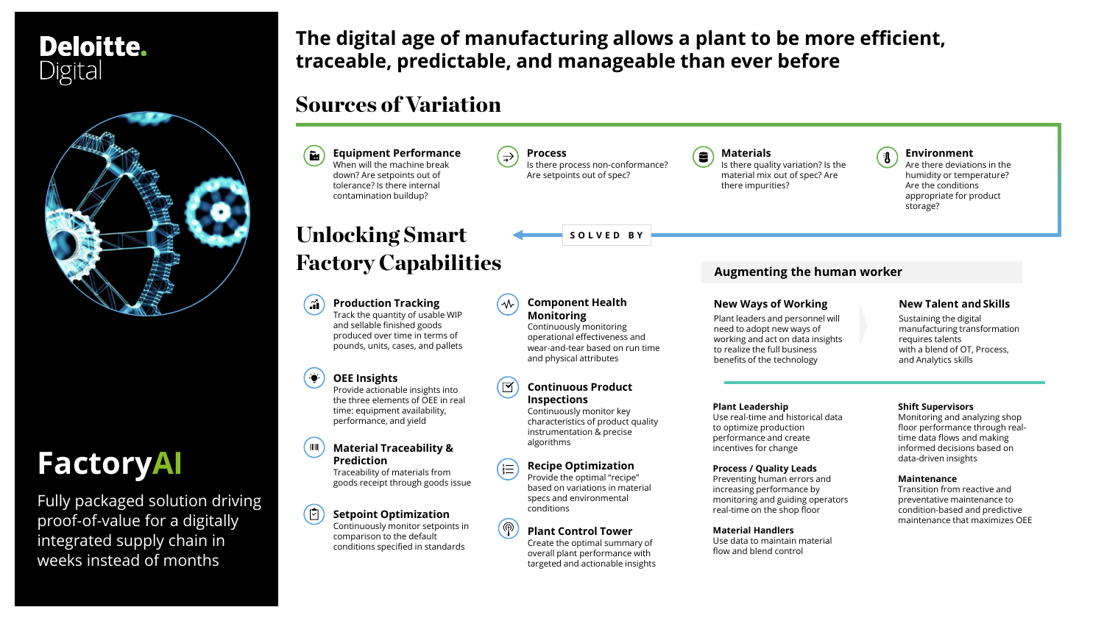## **The digital age of manufacturing allows a plant to be more efficient, traceable, predictable, and manageable than ever before**

## **Deloitte.** Digital



# **FactoryAI**

Fully packaged solution driving proof-of-value for a digitally integrated supply chain in weeks instead of months

Sustaining the digital manufacturing transformation requires talents with a blend of OT, Process, and Analytics skills



**Environment**

Are there deviations in the humidity or temperature? Are the conditions appropriate for product storage?

#### **Shift Supervisors**

Monitoring and analyzing shop floor performance through realtime data flows and making informed decisions based on data-driven insights

#### **Maintenance**

Transition from reactive and preventative maintenance to condition-based and predictive maintenance that maximizes OEE

## Sources of Variation